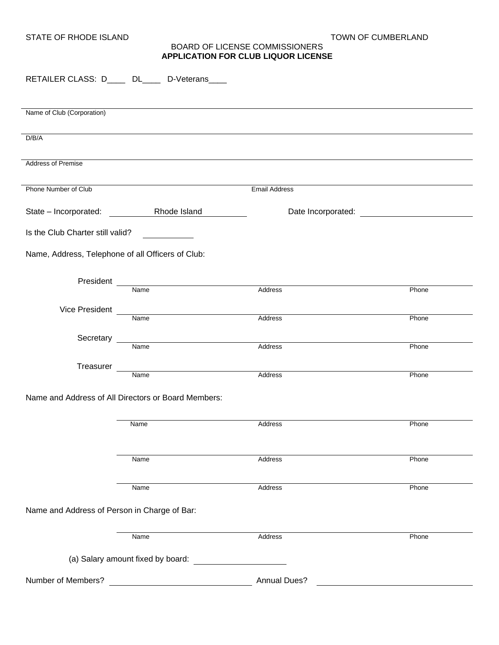STATE OF RHODE ISLAND STATE OF RHODE ISLAND BOARD OF LICENSE COMMISSIONERS **APPLICATION FOR CLUB LIQUOR LICENSE** RETAILER CLASS:D\_\_\_\_ DL\_\_\_\_ D-Veterans\_\_\_\_ Name of Club (Corporation) D/B/A Address of Premise Phone Number of Club Email Address State – Incorporated: The Rhode Island Contract Contract Date Incorporated: Contract Contract Contract Contract Contract Contract Contract Contract Contract Contract Contract Contract Contract Contract Contract Contract Co Is the Club Charter still valid? Name, Address, Telephone of all Officers of Club: President Name **Address Phone Phone** Vice President Name **Address Phone Phone** Secretary Name **Address Phone Phone Treasurer** Name **Address Phone Phone** Name and Address of All Directors or Board Members: Name **Address** Address **Phone** Phone Name **Address Phone Phone** Name **Address Phone Phone** Name and Address of Person in Charge of Bar: Name **Address Phone Phone**  (a) Salary amount fixed by board: Number of Members? Annual Dues?